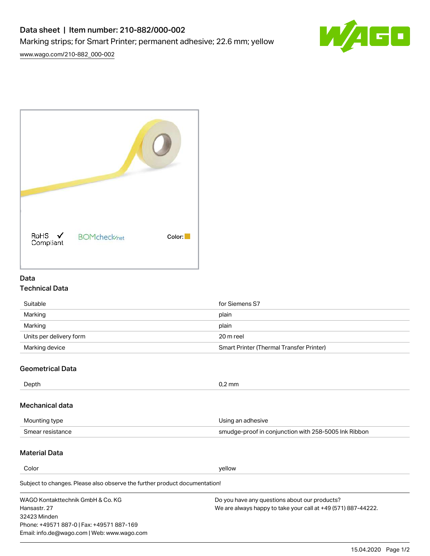## Data sheet | Item number: 210-882/000-002 Marking strips; for Smart Printer; permanent adhesive; 22.6 mm; yellow



[www.wago.com/210-882\\_000-002](http://www.wago.com/210-882_000-002)

| RoHS ✔<br>Compliant | <b>BOMcheck/net</b> | Color: |
|---------------------|---------------------|--------|

#### Data Technical Data

| Suitable                | for Siemens S7                           |
|-------------------------|------------------------------------------|
| Marking                 | plain                                    |
| Marking                 | plain                                    |
| Units per delivery form | 20 m reel                                |
| Marking device          | Smart Printer (Thermal Transfer Printer) |

### Geometrical Data

| Depth           | $0.2$ mm          |
|-----------------|-------------------|
| Mechanical data |                   |
| Mounting type   | Using an adhesive |

Smear resistance smudge-proof in conjunction with 258-5005 Ink Ribbon

#### Material Data

Color yellow

Subject to changes. Please also observe the further product documentation!

WAGO Kontakttechnik GmbH & Co. KG Hansastr. 27 32423 Minden Phone: +49571 887-0 | Fax: +49571 887-169 Email: info.de@wago.com | Web: www.wago.com Do you have any questions about our products? We are always happy to take your call at +49 (571) 887-44222.